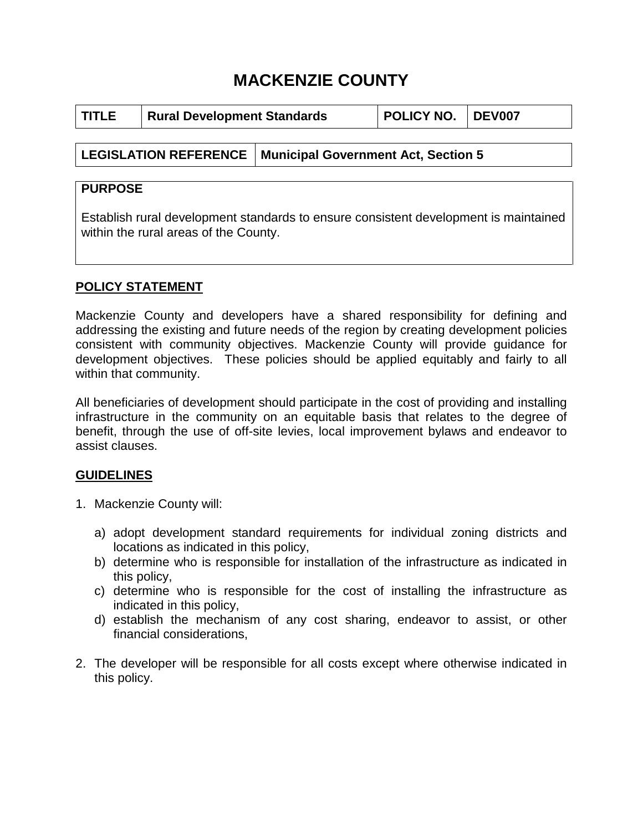## **MACKENZIE COUNTY**

| I TITLE | <b>Rural Development Standards</b> |                                                             | <b>POLICY NO. DEV007</b> |  |
|---------|------------------------------------|-------------------------------------------------------------|--------------------------|--|
|         |                                    |                                                             |                          |  |
|         |                                    | LEGISLATION REFERENCE   Municipal Government Act, Section 5 |                          |  |

# **PURPOSE**

Establish rural development standards to ensure consistent development is maintained within the rural areas of the County.

## **POLICY STATEMENT**

Mackenzie County and developers have a shared responsibility for defining and addressing the existing and future needs of the region by creating development policies consistent with community objectives. Mackenzie County will provide guidance for development objectives. These policies should be applied equitably and fairly to all within that community.

All beneficiaries of development should participate in the cost of providing and installing infrastructure in the community on an equitable basis that relates to the degree of benefit, through the use of off-site levies, local improvement bylaws and endeavor to assist clauses.

## **GUIDELINES**

- 1. Mackenzie County will:
	- a) adopt development standard requirements for individual zoning districts and locations as indicated in this policy,
	- b) determine who is responsible for installation of the infrastructure as indicated in this policy,
	- c) determine who is responsible for the cost of installing the infrastructure as indicated in this policy,
	- d) establish the mechanism of any cost sharing, endeavor to assist, or other financial considerations,
- 2. The developer will be responsible for all costs except where otherwise indicated in this policy.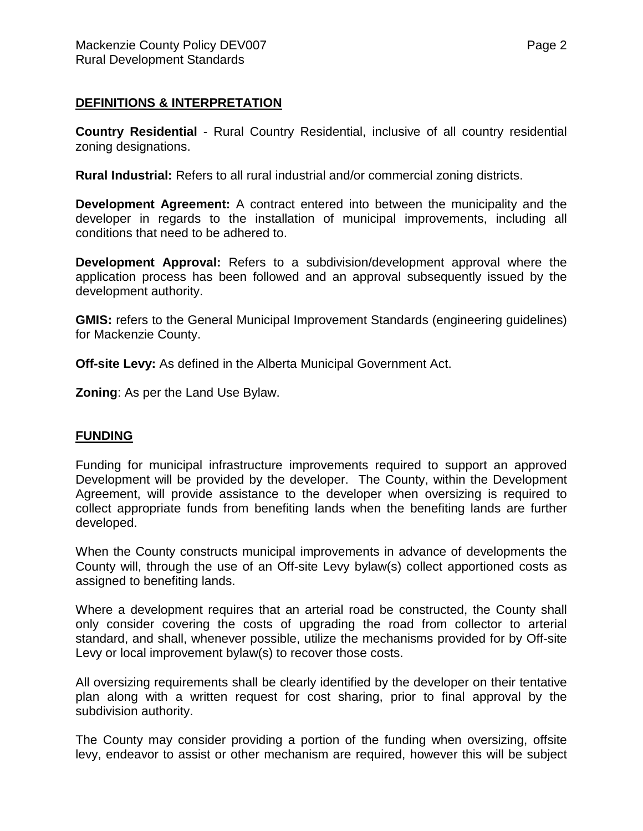## **DEFINITIONS & INTERPRETATION**

**Country Residential** - Rural Country Residential, inclusive of all country residential zoning designations.

**Rural Industrial:** Refers to all rural industrial and/or commercial zoning districts.

**Development Agreement:** A contract entered into between the municipality and the developer in regards to the installation of municipal improvements, including all conditions that need to be adhered to.

**Development Approval:** Refers to a subdivision/development approval where the application process has been followed and an approval subsequently issued by the development authority.

**GMIS:** refers to the General Municipal Improvement Standards (engineering quidelines) for Mackenzie County.

**Off-site Levy:** As defined in the Alberta Municipal Government Act.

**Zoning**: As per the Land Use Bylaw.

## **FUNDING**

Funding for municipal infrastructure improvements required to support an approved Development will be provided by the developer. The County, within the Development Agreement, will provide assistance to the developer when oversizing is required to collect appropriate funds from benefiting lands when the benefiting lands are further developed.

When the County constructs municipal improvements in advance of developments the County will, through the use of an Off-site Levy bylaw(s) collect apportioned costs as assigned to benefiting lands.

Where a development requires that an arterial road be constructed, the County shall only consider covering the costs of upgrading the road from collector to arterial standard, and shall, whenever possible, utilize the mechanisms provided for by Off-site Levy or local improvement bylaw(s) to recover those costs.

All oversizing requirements shall be clearly identified by the developer on their tentative plan along with a written request for cost sharing, prior to final approval by the subdivision authority.

The County may consider providing a portion of the funding when oversizing, offsite levy, endeavor to assist or other mechanism are required, however this will be subject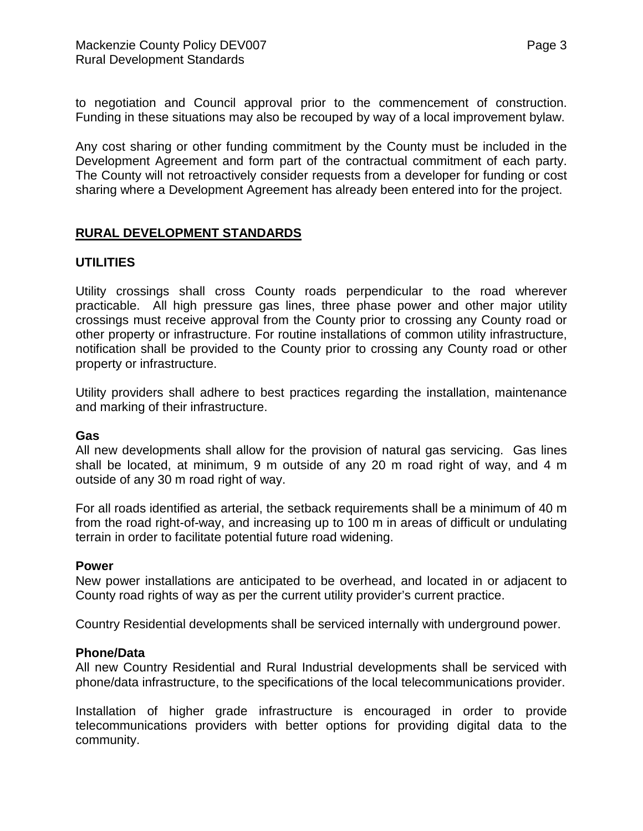to negotiation and Council approval prior to the commencement of construction. Funding in these situations may also be recouped by way of a local improvement bylaw.

Any cost sharing or other funding commitment by the County must be included in the Development Agreement and form part of the contractual commitment of each party. The County will not retroactively consider requests from a developer for funding or cost sharing where a Development Agreement has already been entered into for the project.

## **RURAL DEVELOPMENT STANDARDS**

## **UTILITIES**

Utility crossings shall cross County roads perpendicular to the road wherever practicable. All high pressure gas lines, three phase power and other major utility crossings must receive approval from the County prior to crossing any County road or other property or infrastructure. For routine installations of common utility infrastructure, notification shall be provided to the County prior to crossing any County road or other property or infrastructure.

Utility providers shall adhere to best practices regarding the installation, maintenance and marking of their infrastructure.

#### **Gas**

All new developments shall allow for the provision of natural gas servicing. Gas lines shall be located, at minimum, 9 m outside of any 20 m road right of way, and 4 m outside of any 30 m road right of way.

For all roads identified as arterial, the setback requirements shall be a minimum of 40 m from the road right-of-way, and increasing up to 100 m in areas of difficult or undulating terrain in order to facilitate potential future road widening.

#### **Power**

New power installations are anticipated to be overhead, and located in or adjacent to County road rights of way as per the current utility provider's current practice.

Country Residential developments shall be serviced internally with underground power.

#### **Phone/Data**

All new Country Residential and Rural Industrial developments shall be serviced with phone/data infrastructure, to the specifications of the local telecommunications provider.

Installation of higher grade infrastructure is encouraged in order to provide telecommunications providers with better options for providing digital data to the community.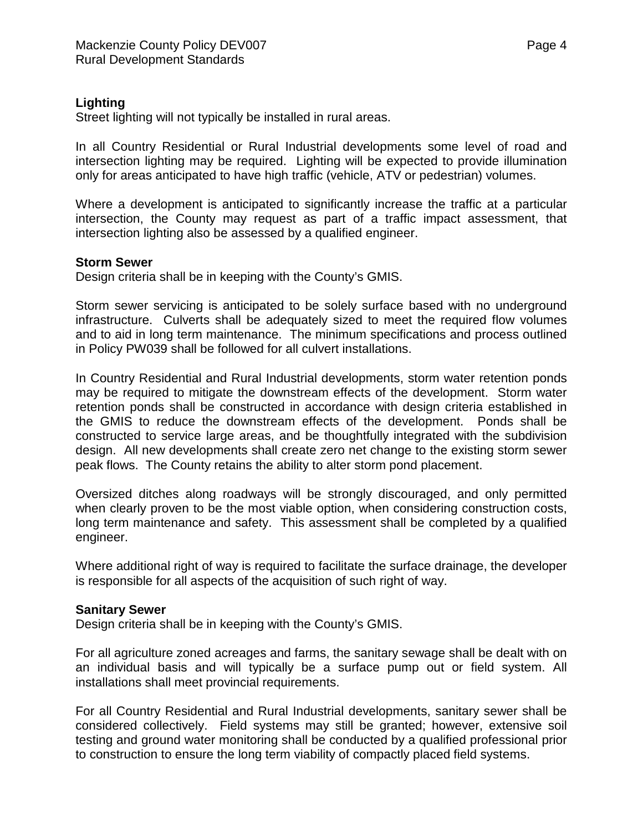## **Lighting**

Street lighting will not typically be installed in rural areas.

In all Country Residential or Rural Industrial developments some level of road and intersection lighting may be required. Lighting will be expected to provide illumination only for areas anticipated to have high traffic (vehicle, ATV or pedestrian) volumes.

Where a development is anticipated to significantly increase the traffic at a particular intersection, the County may request as part of a traffic impact assessment, that intersection lighting also be assessed by a qualified engineer.

## **Storm Sewer**

Design criteria shall be in keeping with the County's GMIS.

Storm sewer servicing is anticipated to be solely surface based with no underground infrastructure. Culverts shall be adequately sized to meet the required flow volumes and to aid in long term maintenance. The minimum specifications and process outlined in Policy PW039 shall be followed for all culvert installations.

In Country Residential and Rural Industrial developments, storm water retention ponds may be required to mitigate the downstream effects of the development. Storm water retention ponds shall be constructed in accordance with design criteria established in the GMIS to reduce the downstream effects of the development. Ponds shall be constructed to service large areas, and be thoughtfully integrated with the subdivision design. All new developments shall create zero net change to the existing storm sewer peak flows. The County retains the ability to alter storm pond placement.

Oversized ditches along roadways will be strongly discouraged, and only permitted when clearly proven to be the most viable option, when considering construction costs, long term maintenance and safety. This assessment shall be completed by a qualified engineer.

Where additional right of way is required to facilitate the surface drainage, the developer is responsible for all aspects of the acquisition of such right of way.

## **Sanitary Sewer**

Design criteria shall be in keeping with the County's GMIS.

For all agriculture zoned acreages and farms, the sanitary sewage shall be dealt with on an individual basis and will typically be a surface pump out or field system. All installations shall meet provincial requirements.

For all Country Residential and Rural Industrial developments, sanitary sewer shall be considered collectively. Field systems may still be granted; however, extensive soil testing and ground water monitoring shall be conducted by a qualified professional prior to construction to ensure the long term viability of compactly placed field systems.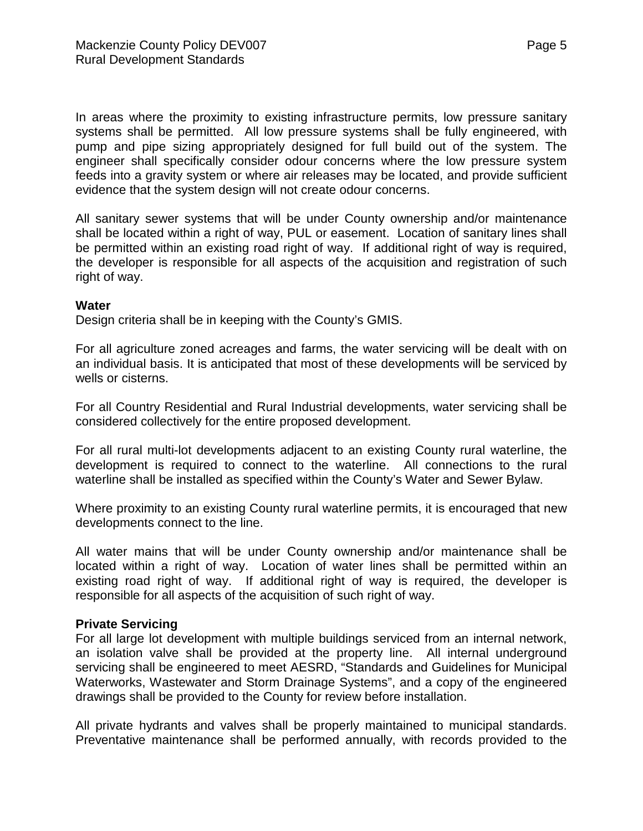In areas where the proximity to existing infrastructure permits, low pressure sanitary systems shall be permitted. All low pressure systems shall be fully engineered, with pump and pipe sizing appropriately designed for full build out of the system. The engineer shall specifically consider odour concerns where the low pressure system feeds into a gravity system or where air releases may be located, and provide sufficient evidence that the system design will not create odour concerns.

All sanitary sewer systems that will be under County ownership and/or maintenance shall be located within a right of way, PUL or easement. Location of sanitary lines shall be permitted within an existing road right of way. If additional right of way is required, the developer is responsible for all aspects of the acquisition and registration of such right of way.

#### **Water**

Design criteria shall be in keeping with the County's GMIS.

For all agriculture zoned acreages and farms, the water servicing will be dealt with on an individual basis. It is anticipated that most of these developments will be serviced by wells or cisterns.

For all Country Residential and Rural Industrial developments, water servicing shall be considered collectively for the entire proposed development.

For all rural multi-lot developments adjacent to an existing County rural waterline, the development is required to connect to the waterline. All connections to the rural waterline shall be installed as specified within the County's Water and Sewer Bylaw.

Where proximity to an existing County rural waterline permits, it is encouraged that new developments connect to the line.

All water mains that will be under County ownership and/or maintenance shall be located within a right of way. Location of water lines shall be permitted within an existing road right of way. If additional right of way is required, the developer is responsible for all aspects of the acquisition of such right of way.

#### **Private Servicing**

For all large lot development with multiple buildings serviced from an internal network, an isolation valve shall be provided at the property line. All internal underground servicing shall be engineered to meet AESRD, "Standards and Guidelines for Municipal Waterworks, Wastewater and Storm Drainage Systems", and a copy of the engineered drawings shall be provided to the County for review before installation.

All private hydrants and valves shall be properly maintained to municipal standards. Preventative maintenance shall be performed annually, with records provided to the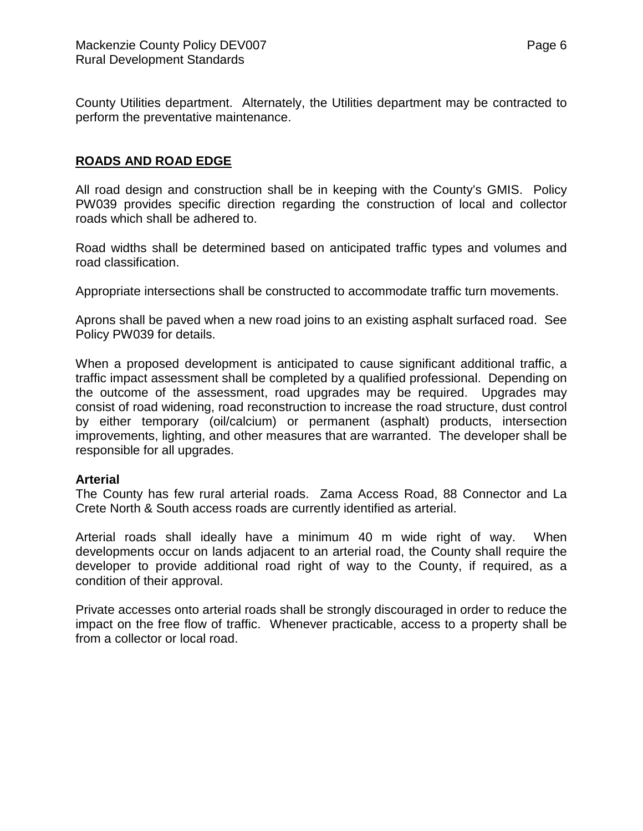County Utilities department. Alternately, the Utilities department may be contracted to perform the preventative maintenance.

## **ROADS AND ROAD EDGE**

All road design and construction shall be in keeping with the County's GMIS. Policy PW039 provides specific direction regarding the construction of local and collector roads which shall be adhered to.

Road widths shall be determined based on anticipated traffic types and volumes and road classification.

Appropriate intersections shall be constructed to accommodate traffic turn movements.

Aprons shall be paved when a new road joins to an existing asphalt surfaced road. See Policy PW039 for details.

When a proposed development is anticipated to cause significant additional traffic, a traffic impact assessment shall be completed by a qualified professional. Depending on the outcome of the assessment, road upgrades may be required. Upgrades may consist of road widening, road reconstruction to increase the road structure, dust control by either temporary (oil/calcium) or permanent (asphalt) products, intersection improvements, lighting, and other measures that are warranted. The developer shall be responsible for all upgrades.

## **Arterial**

The County has few rural arterial roads. Zama Access Road, 88 Connector and La Crete North & South access roads are currently identified as arterial.

Arterial roads shall ideally have a minimum 40 m wide right of way. When developments occur on lands adjacent to an arterial road, the County shall require the developer to provide additional road right of way to the County, if required, as a condition of their approval.

Private accesses onto arterial roads shall be strongly discouraged in order to reduce the impact on the free flow of traffic. Whenever practicable, access to a property shall be from a collector or local road.